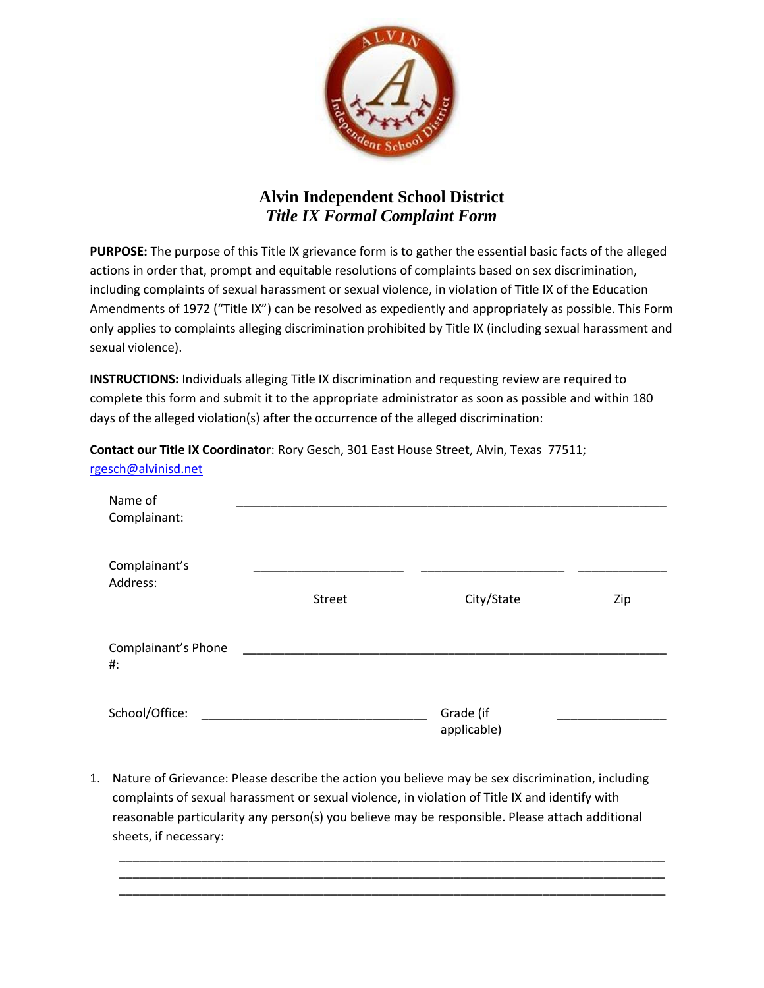

## **Alvin Independent School District** *Title IX Formal Complaint Form*

**PURPOSE:** The purpose of this Title IX grievance form is to gather the essential basic facts of the alleged actions in order that, prompt and equitable resolutions of complaints based on sex discrimination, including complaints of sexual harassment or sexual violence, in violation of Title IX of the Education Amendments of 1972 ("Title IX") can be resolved as expediently and appropriately as possible. This Form only applies to complaints alleging discrimination prohibited by Title IX (including sexual harassment and sexual violence).

**INSTRUCTIONS:** Individuals alleging Title IX discrimination and requesting review are required to complete this form and submit it to the appropriate administrator as soon as possible and within 180 days of the alleged violation(s) after the occurrence of the alleged discrimination:

**Contact our Title IX Coordinato**r: Rory Gesch, 301 East House Street, Alvin, Texas 77511; [rgesch@alvinisd.net](mailto:rgesch@alvinisd.net)

| Name of<br>Complainant:       |               |                          |     |
|-------------------------------|---------------|--------------------------|-----|
| Complainant's<br>Address:     | <b>Street</b> | City/State               | Zip |
| Complainant's Phone<br>$\#$ : |               |                          |     |
| School/Office:                |               | Grade (if<br>applicable) |     |

1. Nature of Grievance: Please describe the action you believe may be sex discrimination, including complaints of sexual harassment or sexual violence, in violation of Title IX and identify with reasonable particularity any person(s) you believe may be responsible. Please attach additional sheets, if necessary:

\_\_\_\_\_\_\_\_\_\_\_\_\_\_\_\_\_\_\_\_\_\_\_\_\_\_\_\_\_\_\_\_\_\_\_\_\_\_\_\_\_\_\_\_\_\_\_\_\_\_\_\_\_\_\_\_\_\_\_\_\_\_\_\_\_\_\_\_\_\_\_\_\_\_\_\_\_\_\_\_ \_\_\_\_\_\_\_\_\_\_\_\_\_\_\_\_\_\_\_\_\_\_\_\_\_\_\_\_\_\_\_\_\_\_\_\_\_\_\_\_\_\_\_\_\_\_\_\_\_\_\_\_\_\_\_\_\_\_\_\_\_\_\_\_\_\_\_\_\_\_\_\_\_\_\_\_\_\_\_\_ \_\_\_\_\_\_\_\_\_\_\_\_\_\_\_\_\_\_\_\_\_\_\_\_\_\_\_\_\_\_\_\_\_\_\_\_\_\_\_\_\_\_\_\_\_\_\_\_\_\_\_\_\_\_\_\_\_\_\_\_\_\_\_\_\_\_\_\_\_\_\_\_\_\_\_\_\_\_\_\_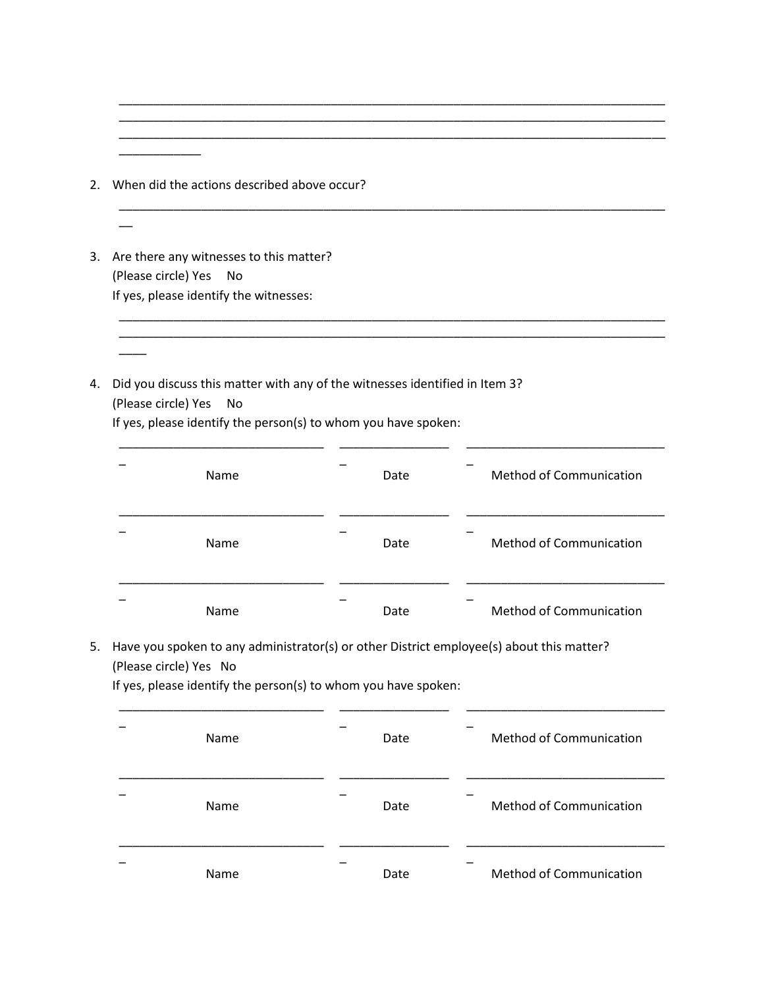2. When did the actions described above occur?

 $\overline{\phantom{a}}$   $\overline{\phantom{a}}$   $\overline{\phantom{a}}$   $\overline{\phantom{a}}$   $\overline{\phantom{a}}$   $\overline{\phantom{a}}$   $\overline{\phantom{a}}$   $\overline{\phantom{a}}$   $\overline{\phantom{a}}$   $\overline{\phantom{a}}$   $\overline{\phantom{a}}$   $\overline{\phantom{a}}$   $\overline{\phantom{a}}$   $\overline{\phantom{a}}$   $\overline{\phantom{a}}$   $\overline{\phantom{a}}$   $\overline{\phantom{a}}$   $\overline{\phantom{a}}$   $\overline{\$ 

 $\overline{\phantom{a}}$ 

 $\overline{\phantom{a}}$ 

- 3. Are there any witnesses to this matter? (Please circle) Yes No If yes, please identify the witnesses:
- 4. Did you discuss this matter with any of the witnesses identified in Item 3? (Please circle) Yes No

If yes, please identify the person(s) to whom you have spoken:

| Name | Date | <b>Method of Communication</b> |
|------|------|--------------------------------|
| Name | Date | <b>Method of Communication</b> |
| Name | Date | <b>Method of Communication</b> |

\_\_\_\_\_\_\_\_\_\_\_\_\_\_\_\_\_\_\_\_\_\_\_\_\_\_\_\_\_\_\_\_\_\_\_\_\_\_\_\_\_\_\_\_\_\_\_\_\_\_\_\_\_\_\_\_\_\_\_\_\_\_\_\_\_\_\_\_\_\_\_\_\_\_\_\_\_\_\_\_

\_\_\_\_\_\_\_\_\_\_\_\_\_\_\_\_\_\_\_\_\_\_\_\_\_\_\_\_\_\_\_\_\_\_\_\_\_\_\_\_\_\_\_\_\_\_\_\_\_\_\_\_\_\_\_\_\_\_\_\_\_\_\_\_\_\_\_\_\_\_\_\_\_\_\_\_\_\_\_\_

\_\_\_\_\_\_\_\_\_\_\_\_\_\_\_\_\_\_\_\_\_\_\_\_\_\_\_\_\_\_\_\_\_\_\_\_\_\_\_\_\_\_\_\_\_\_\_\_\_\_\_\_\_\_\_\_\_\_\_\_\_\_\_\_\_\_\_\_\_\_\_\_\_\_\_\_\_\_\_\_

\_\_\_\_\_\_\_\_\_\_\_\_\_\_\_\_\_\_\_\_\_\_\_\_\_\_\_\_\_\_\_\_\_\_\_\_\_\_\_\_\_\_\_\_\_\_\_\_\_\_\_\_\_\_\_\_\_\_\_\_\_\_\_\_\_\_\_\_\_\_\_\_\_\_\_\_\_\_\_\_

5. Have you spoken to any administrator(s) or other District employee(s) about this matter? (Please circle) Yes No

If yes, please identify the person(s) to whom you have spoken:

| Name | Date | <b>Method of Communication</b> |
|------|------|--------------------------------|
| Name | Date | <b>Method of Communication</b> |
| Name | Date | Method of Communication        |